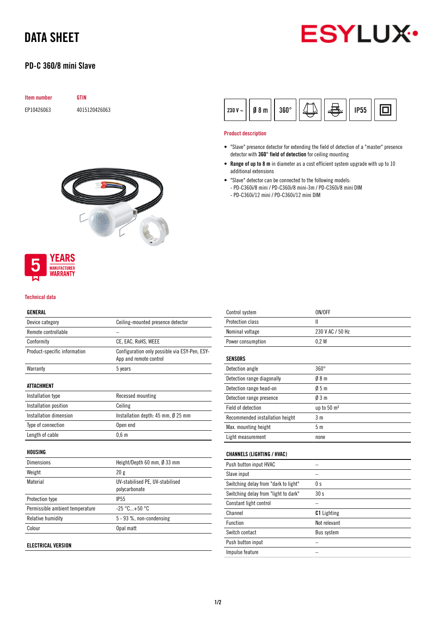# DATA SHEET

## PD-C 360/8 mini Slave



## Item number GTIN EP10426063 4015120426063



### **YEARS MANUFACTURER** *NARRANTY*

#### Technical data

### GENERAL

| Device category                 | Ceiling-mounted presence detector              |
|---------------------------------|------------------------------------------------|
| Remote controllable             |                                                |
| Conformity                      | CE, EAC, RoHS, WEEE                            |
| Product-specific information    | Configuration only possible via ESY-Pen, ESY-  |
|                                 | App and remote control                         |
| Warranty                        | 5 years                                        |
|                                 |                                                |
| ATTACHMENT                      |                                                |
| Installation type               | Recessed mounting                              |
| Installation position           | Ceiling                                        |
| Installation dimension          | Installation depth: $45$ mm, $\emptyset$ 25 mm |
| Type of connection              | Open end                                       |
| Length of cable                 | 0.6 <sub>m</sub>                               |
|                                 |                                                |
| HOUSING                         |                                                |
| <b>Dimensions</b>               | Height/Depth 60 mm, $\emptyset$ 33 mm          |
| Weight                          | 20g                                            |
| Material                        | UV-stabilised PE, UV-stabilised                |
|                                 | polycarbonate                                  |
| <b>Protection type</b>          | <b>IP55</b>                                    |
| Permissible ambient temperature | $-25 °C+50 °C$                                 |
| Relative humidity               | 5 - 93 %, non-condensing                       |
| Colour                          | Opal matt                                      |
|                                 |                                                |
| <b>ELECTRICAL VERSION</b>       |                                                |

#### 回  $230 V 08<sub>m</sub>$  $360^\circ$ **IP55**

#### Product description

- "Slave" presence detector for extending the field of detection of a "master" presence detector with 360° field of detection for ceiling mounting
- Range of up to 8 m in diameter as a cost efficient system upgrade with up to 10 additional extensions
- "Slave" detector can be connected to the following models: - PD-C360i/8 mini / PD-C360i/8 mini-3m / PD-C360i/8 mini DIM
	- PD-C360i/12 mini / PD-C360i/12 mini DIM

| Control system                       | ON/OFF                  |
|--------------------------------------|-------------------------|
| Protection class                     | Ш                       |
| Nominal voltage                      | 230 V AC / 50 Hz        |
| Power consumption                    | 0.2W                    |
| <b>SENSORS</b>                       |                         |
| Detection angle                      | $360^\circ$             |
| Detection range diagonally           | 08 <sub>m</sub>         |
| Detection range head-on              | 05m                     |
| Detection range presence             | 03m                     |
| Field of detection                   | up to 50 m <sup>2</sup> |
| Recommended installation height      | 3 <sub>m</sub>          |
| Max. mounting height                 | 5 <sub>m</sub>          |
| Light measurement                    | none                    |
| <b>CHANNELS (LIGHTING / HVAC)</b>    |                         |
| Push button input HVAC               |                         |
| Slave input                          |                         |
| Switching delay from "dark to light" | 0 <sub>s</sub>          |
| Switching delay from "light to dark" | 30s                     |
| Constant light control               |                         |
| Channel                              | <b>C1</b> Lighting      |
| Function                             | Not relevant            |
| Switch contact                       | Bus system              |
| Push button input                    |                         |
| Impulse feature                      |                         |
|                                      |                         |